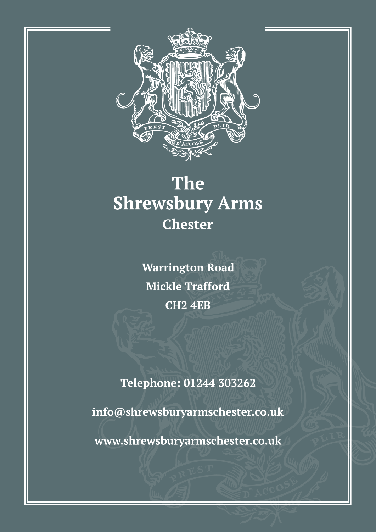

# The **Shrewsbury Arms Chester**

**Warrington Road Mickle Trafford CH2 4EB** 

**Telephone: 01244 303262** 

## info@shrewsburyarmschester.co.uk

# www.shrewsburyarmschester.co.uk